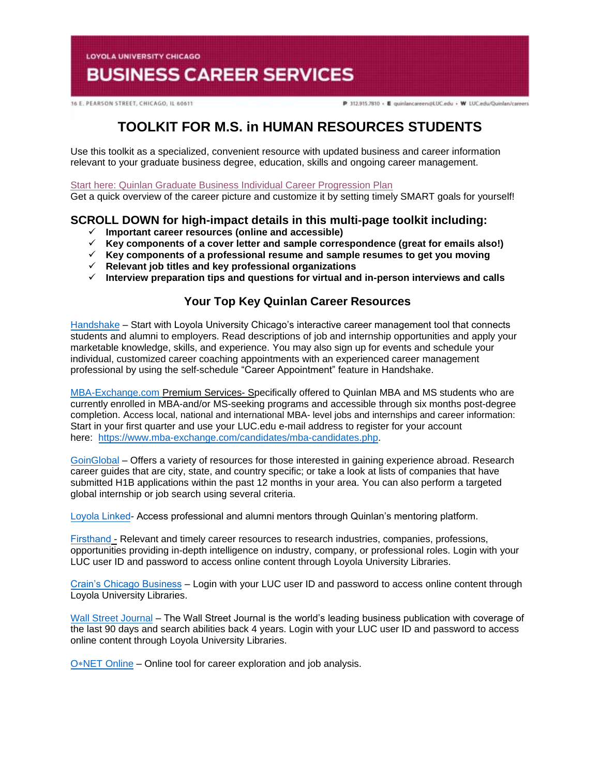**LOYOLA UNIVERSITY CHICAGO** 

# **BUSINESS CAREER SERVICES**

16 E. PEARSON STREET, CHICAGO, IL 60611

P 312.915.7810 · E quinlancareers@LUC.edu · W LUC.edu/Quinlan/careers

## **TOOLKIT FOR M.S. in HUMAN RESOURCES STUDENTS**

Use this toolkit as a specialized, convenient resource with updated business and career information relevant to your graduate business degree, education, skills and ongoing career management.

[Start here: Quinlan Graduate Business Individual Career Progression Plan](https://www.luc.edu/media/lucedu/quinlan-businesscareerservices/pdfs/2020%20Quinlan%20Graduate%20Business%20Individual%20Career%20Progression%20Plan.pdf) 

Get a quick overview of the career picture and customize it by setting timely SMART goals for yourself!

### **SCROLL DOWN for high-impact details in this multi-page toolkit including:**

- **Important career resources (online and accessible)**
- **Key components of a cover letter and sample correspondence (great for emails also!)**
- **Key components of a professional resume and sample resumes to get you moving**
- **Relevant job titles and key professional organizations**
- **Interview preparation tips and questions for virtual and in-person interviews and calls**

### **Your Top Key Quinlan Career Resources**

[Handshake](https://luc.joinhandshake.com/login) – Start with Loyola University Chicago's interactive career management tool that connects students and alumni to employers. Read descriptions of job and internship opportunities and apply your marketable knowledge, skills, and experience. You may also sign up for events and schedule your individual, customized career coaching appointments with an experienced career management professional by using the self-schedule "Career Appointment" feature in Handshake.

[MBA-Exchange.com P](https://www.luc.edu/quinlan/careers/studentservices/job-search/)remium Services- Specifically offered to Quinlan MBA and MS students who are currently enrolled in MBA-and/or MS-seeking programs and accessible through six months post-degree completion. Access local, national and international MBA- level jobs and internships and career information: Start in your first quarter and use your LUC.edu e-mail address to register for your account here: [https://www.mba-exchange.com/candidates/mba-candidates.php.](http://email.mail.joinhandshake.com/c/eJxFkN1uhCAQhZ9G75YgIOIFFzaNL9AHMAjTlV1-jGDs4xfttk3mZr6Tc2ZyjBRCz6K2kmCCMSe84W3bYNSgQQyUF4C7caBvTVcx7JV16BFtWFQwaVFPQDr6epGfDCgHMxPWEo2V6ATue2hAi45RwVnt5JLzmio6VGQscxwH8rO6wZcuWfcrp2Bdcq1RGVJZTv0foHVZKzq6uFX0nVWE79lPKe6bhgK8Smk634PtJXkwdvdFghO_oI4hQ8iFcix69hujlV-VvYfC92CnrLY7ZDDTZU31Jh8JnEulAbdrBGavs-wZvn3oJUZX_7UxXW9crska-XPjGw06c3I?lor=5&utm_source=mass_mailer&utm_medium=email&utm_content=608944&utm_campaign=uni_targeted_emails) 

[GoinGlobal](https://online.goinglobal.com/) – Offers a variety of resources for those interested in gaining experience abroad. Research career guides that are city, state, and country specific; or take a look at lists of companies that have submitted H1B applications within the past 12 months in your area. You can also perform a targeted global internship or job search using several criteria.

[Loyola](https://mentors.luc.edu/) Linked- Access professional and alumni mentors through Quinlan's mentoring platform.

[Firsthand](https://login.flagship.luc.edu/login?qurl=https%3a%2f%2faccess.vault.com%2fcareer-insider-login.aspx%3faid%3d256866) - Relevant and timely career resources to research industries, companies, professions, opportunities providing in-depth intelligence on industry, company, or professional roles. Login with your LUC user ID and password to access online content through Loyola University Libraries.

[Crain's Chicago Business](https://loyola-primo.hosted.exlibrisgroup.com/primo-explore/fulldisplay?docid=01LUC_ALMA2180212020002506&vid=01LUC&search_scope=Library_Collections&tab=jsearch_slot&lang=en_US&context=L) – Login with your LUC user ID and password to access online content through Loyola University Libraries.

[Wall Street Journal](http://libraries.luc.edu/databases/database/858) – The Wall Street Journal is the world's leading business publication with coverage of the last 90 days and search abilities back 4 years. Login with your LUC user ID and password to access online content through Loyola University Libraries.

O∗[NET Online](https://www.onetonline.org/) – Online tool for career exploration and job analysis.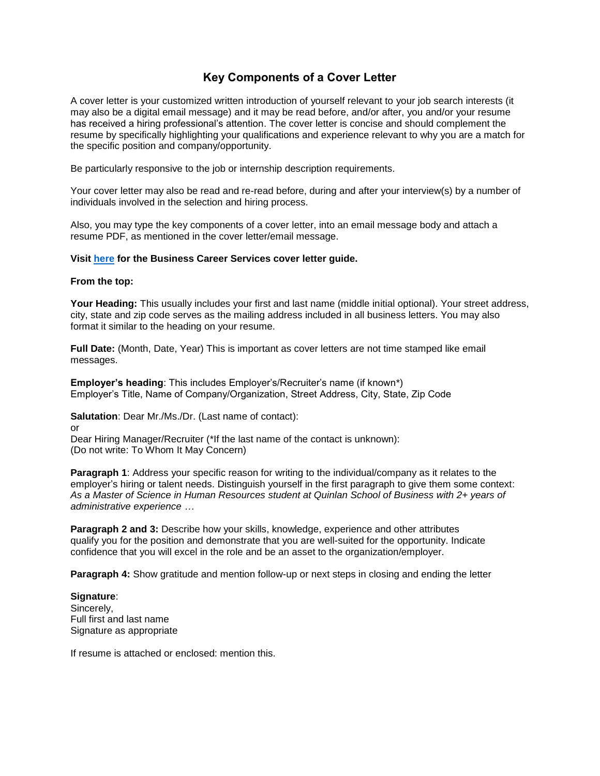### **Key Components of a Cover Letter**

A cover letter is your customized written introduction of yourself relevant to your job search interests (it may also be a digital email message) and it may be read before, and/or after, you and/or your resume has received a hiring professional's attention. The cover letter is concise and should complement the resume by specifically highlighting your qualifications and experience relevant to why you are a match for the specific position and company/opportunity.

Be particularly responsive to the job or internship description requirements.

Your cover letter may also be read and re-read before, during and after your interview(s) by a number of individuals involved in the selection and hiring process.

Also, you may type the key components of a cover letter, into an email message body and attach a resume PDF, as mentioned in the cover letter/email message.

#### **Visit [here](https://www.luc.edu/media/lucedu/quinlan-businesscareerservices/Cover%20Letter%20Guidelines.pdf) for the Business Career Services cover letter guide.**

#### **From the top:**

**Your Heading:** This usually includes your first and last name (middle initial optional). Your street address, city, state and zip code serves as the mailing address included in all business letters. You may also format it similar to the heading on your resume.

**Full Date:** (Month, Date, Year) This is important as cover letters are not time stamped like email messages.

**Employer's heading**: This includes Employer's/Recruiter's name (if known\*) Employer's Title, Name of Company/Organization, Street Address, City, State, Zip Code

**Salutation**: Dear Mr./Ms./Dr. (Last name of contact):

or

Dear Hiring Manager/Recruiter (\*If the last name of the contact is unknown): (Do not write: To Whom It May Concern)

**Paragraph 1:** Address your specific reason for writing to the individual/company as it relates to the employer's hiring or talent needs. Distinguish yourself in the first paragraph to give them some context: *As a Master of Science in Human Resources student at Quinlan School of Business with 2+ years of administrative experience …*

**Paragraph 2 and 3:** Describe how your skills, knowledge, experience and other attributes qualify you for the position and demonstrate that you are well-suited for the opportunity. Indicate confidence that you will excel in the role and be an asset to the organization/employer.

**Paragraph 4:** Show gratitude and mention follow-up or next steps in closing and ending the letter

**Signature**: Sincerely, Full first and last name Signature as appropriate

If resume is attached or enclosed: mention this.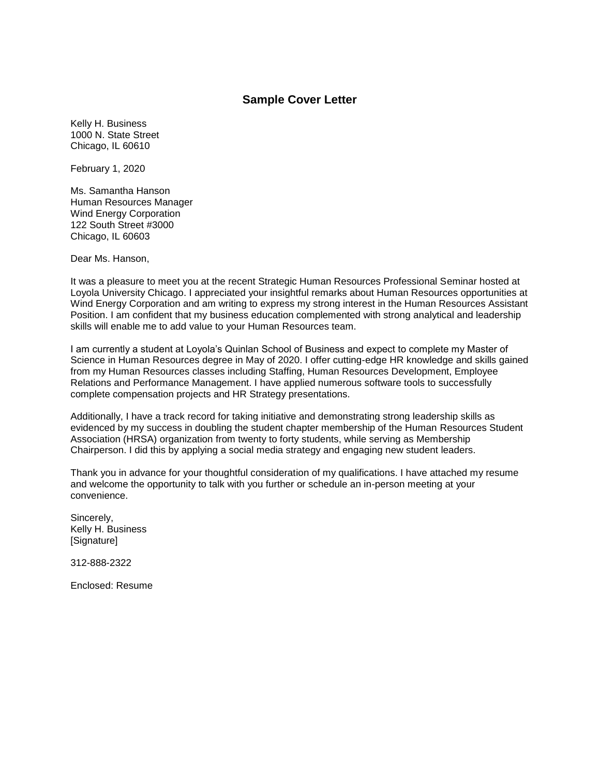#### **Sample Cover Letter**

Kelly H. Business 1000 N. State Street Chicago, IL 60610

February 1, 2020

Ms. Samantha Hanson Human Resources Manager Wind Energy Corporation 122 South Street #3000 Chicago, IL 60603

Dear Ms. Hanson,

It was a pleasure to meet you at the recent Strategic Human Resources Professional Seminar hosted at Loyola University Chicago. I appreciated your insightful remarks about Human Resources opportunities at Wind Energy Corporation and am writing to express my strong interest in the Human Resources Assistant Position. I am confident that my business education complemented with strong analytical and leadership skills will enable me to add value to your Human Resources team.

I am currently a student at Loyola's Quinlan School of Business and expect to complete my Master of Science in Human Resources degree in May of 2020. I offer cutting-edge HR knowledge and skills gained from my Human Resources classes including Staffing, Human Resources Development, Employee Relations and Performance Management. I have applied numerous software tools to successfully complete compensation projects and HR Strategy presentations.

Additionally, I have a track record for taking initiative and demonstrating strong leadership skills as evidenced by my success in doubling the student chapter membership of the Human Resources Student Association (HRSA) organization from twenty to forty students, while serving as Membership Chairperson. I did this by applying a social media strategy and engaging new student leaders.

Thank you in advance for your thoughtful consideration of my qualifications. I have attached my resume and welcome the opportunity to talk with you further or schedule an in-person meeting at your convenience.

Sincerely, Kelly H. Business [Signature]

312-888-2322

Enclosed: Resume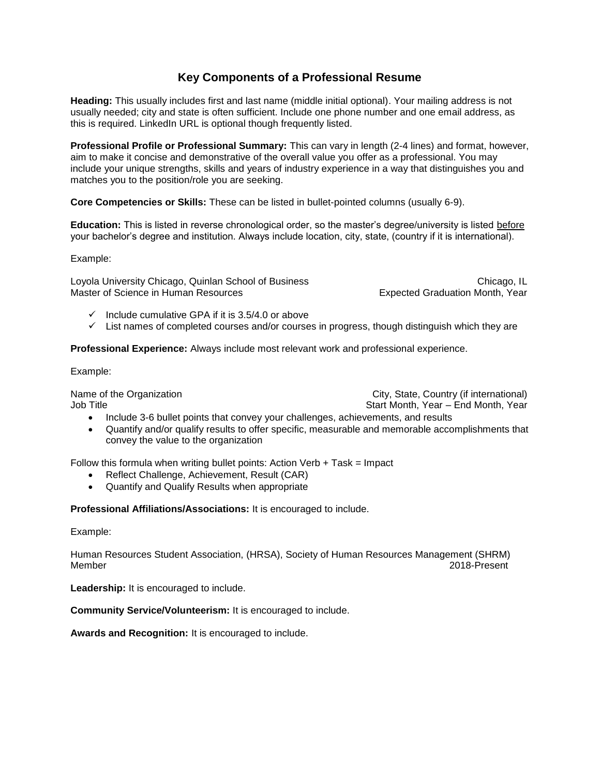### **Key Components of a Professional Resume**

**Heading:** This usually includes first and last name (middle initial optional). Your mailing address is not usually needed; city and state is often sufficient. Include one phone number and one email address, as this is required. LinkedIn URL is optional though frequently listed.

**Professional Profile or Professional Summary:** This can vary in length (2-4 lines) and format, however, aim to make it concise and demonstrative of the overall value you offer as a professional. You may include your unique strengths, skills and years of industry experience in a way that distinguishes you and matches you to the position/role you are seeking.

**Core Competencies or Skills:** These can be listed in bullet-pointed columns (usually 6-9).

**Education:** This is listed in reverse chronological order, so the master's degree/university is listed before your bachelor's degree and institution. Always include location, city, state, (country if it is international).

Example:

Loyola University Chicago, Quinlan School of Business Chicago, Chicago, IL Master of Science in Human Resources **Expected Graduation Month, Year** 

- $\checkmark$  Include cumulative GPA if it is 3.5/4.0 or above
- $\checkmark$  List names of completed courses and/or courses in progress, though distinguish which they are

**Professional Experience:** Always include most relevant work and professional experience.

Example:

Name of the Organization **City, State, Country (if international)** Job Title Start Month, Year – End Month, Year – End Month, Year – End Month, Year

- Include 3-6 bullet points that convey your challenges, achievements, and results
- Quantify and/or qualify results to offer specific, measurable and memorable accomplishments that convey the value to the organization

Follow this formula when writing bullet points: Action Verb  $+$  Task = Impact

- Reflect Challenge, Achievement, Result (CAR)
- Quantify and Qualify Results when appropriate

**Professional Affiliations/Associations:** It is encouraged to include.

Example:

Human Resources Student Association, (HRSA), Society of Human Resources Management (SHRM) Member 2018-Present

Leadership: It is encouraged to include.

**Community Service/Volunteerism:** It is encouraged to include.

**Awards and Recognition:** It is encouraged to include.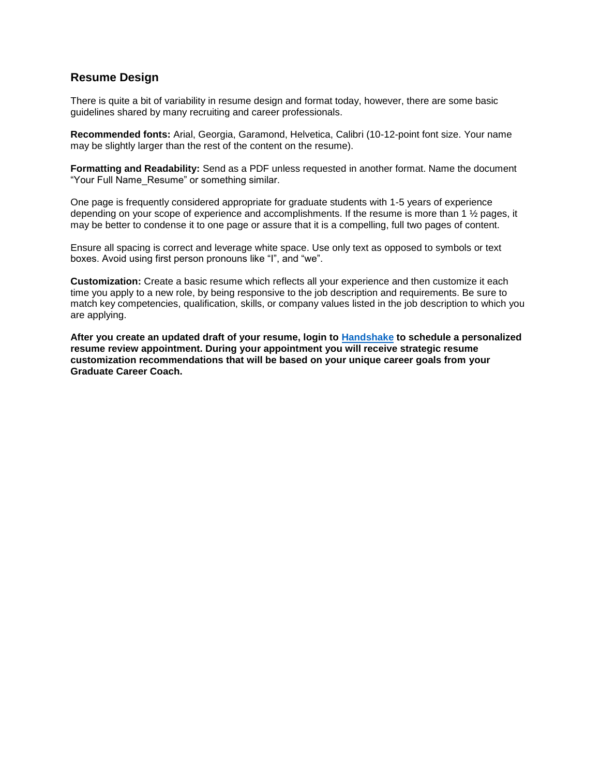### **Resume Design**

There is quite a bit of variability in resume design and format today, however, there are some basic guidelines shared by many recruiting and career professionals.

**Recommended fonts:** Arial, Georgia, Garamond, Helvetica, Calibri (10-12-point font size. Your name may be slightly larger than the rest of the content on the resume).

**Formatting and Readability:** Send as a PDF unless requested in another format. Name the document "Your Full Name\_Resume" or something similar.

One page is frequently considered appropriate for graduate students with 1-5 years of experience depending on your scope of experience and accomplishments. If the resume is more than 1 ½ pages, it may be better to condense it to one page or assure that it is a compelling, full two pages of content.

Ensure all spacing is correct and leverage white space. Use only text as opposed to symbols or text boxes. Avoid using first person pronouns like "I", and "we".

**Customization:** Create a basic resume which reflects all your experience and then customize it each time you apply to a new role, by being responsive to the job description and requirements. Be sure to match key competencies, qualification, skills, or company values listed in the job description to which you are applying.

**After you create an updated draft of your resume, login to [Handshake](https://luc.joinhandshake.com/) to schedule a personalized resume review appointment. During your appointment you will receive strategic resume customization recommendations that will be based on your unique career goals from your Graduate Career Coach.**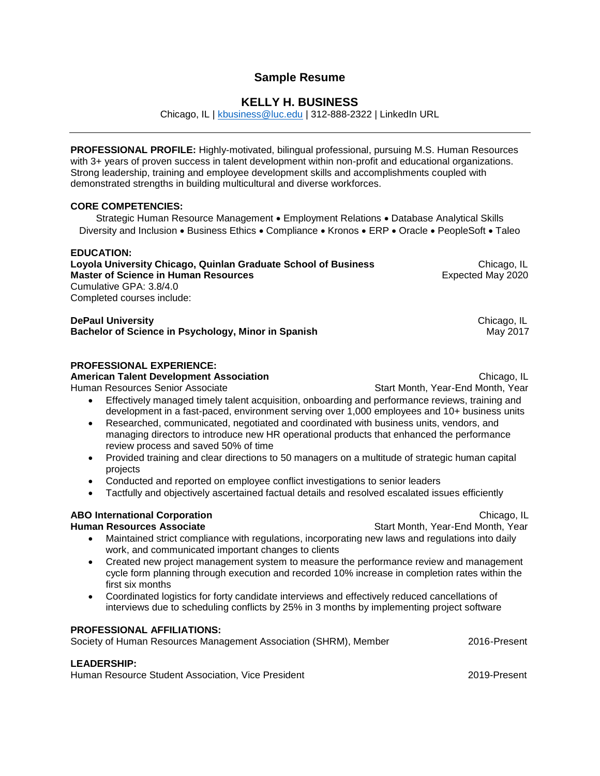### **Sample Resume**

### **KELLY H. BUSINESS**

Chicago, IL | [kbusiness@luc.edu](mailto:kbusiness@luc.edu) | 312-888-2322 | LinkedIn URL

**PROFESSIONAL PROFILE:** Highly-motivated, bilingual professional, pursuing M.S. Human Resources with 3+ years of proven success in talent development within non-profit and educational organizations. Strong leadership, training and employee development skills and accomplishments coupled with demonstrated strengths in building multicultural and diverse workforces.

#### **CORE COMPETENCIES:**

Strategic Human Resource Management • Employment Relations • Database Analytical Skills Diversity and Inclusion • Business Ethics • Compliance • Kronos • ERP • Oracle • PeopleSoft • Taleo

#### **EDUCATION:**

**Loyola University Chicago, Quinlan Graduate School of Business Chicago, IL Chicago, IL Master of Science in Human Resources Expected May 2020** Cumulative GPA: 3.8/4.0 Completed courses include:

**DePaul University Chicago, IL Chicago, IL Chicago, IL Chicago, IL Chicago, IL Bachelor of Science in Psychology, Minor in Spanish**  May 2017

#### **PROFESSIONAL EXPERIENCE:**

**American Talent Development Association** *Chicago, IL* **<b>Chicago, IL Chicago, IL** 

Human Resources Senior Associate Start Start Month, Year-End Month, Year-End Month, Year

- Effectively managed timely talent acquisition, onboarding and performance reviews, training and development in a fast-paced, environment serving over 1,000 employees and 10+ business units
- Researched, communicated, negotiated and coordinated with business units, vendors, and managing directors to introduce new HR operational products that enhanced the performance review process and saved 50% of time
- Provided training and clear directions to 50 managers on a multitude of strategic human capital projects
- Conducted and reported on employee conflict investigations to senior leaders
- Tactfully and objectively ascertained factual details and resolved escalated issues efficiently

### **ABO International Corporation** Chicago, IL

#### **Human Resources Associate Start Month, Year-End Month, Year-End Month, Year**

- Maintained strict compliance with regulations, incorporating new laws and regulations into daily work, and communicated important changes to clients
- Created new project management system to measure the performance review and management cycle form planning through execution and recorded 10% increase in completion rates within the first six months
- Coordinated logistics for forty candidate interviews and effectively reduced cancellations of interviews due to scheduling conflicts by 25% in 3 months by implementing project software

#### **PROFESSIONAL AFFILIATIONS:**

Society of Human Resources Management Association (SHRM), Member 2016-Present

#### **LEADERSHIP:**

Human Resource Student Association, Vice President 2019-Present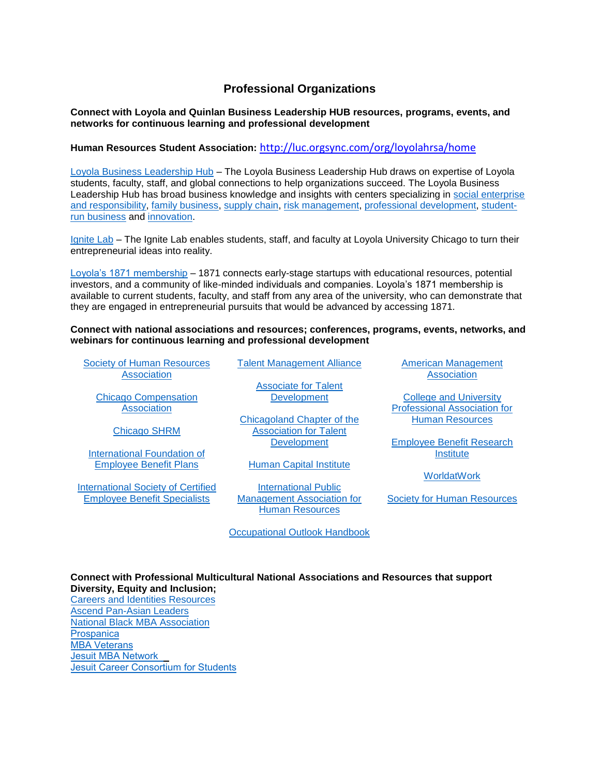### **Professional Organizations**

**Connect with Loyola and Quinlan Business Leadership HUB resources, programs, events, and networks for continuous learning and professional development** 

**Human Resources Student Association:** <http://luc.orgsync.com/org/loyolahrsa/home>

[Loyola Business Leadership Hub](https://www.luc.edu/leadershiphub/) – The Loyola Business Leadership Hub draws on expertise of Loyola students, faculty, staff, and global connections to help organizations succeed. The Loyola Business Leadership Hub has broad business knowledge and insights with centers specializing in social enterprise [and responsibility,](https://www.luc.edu/baumhartcenter/) [family business,](https://www.luc.edu/leadershiphub/centers/familybusiness/) [supply chain,](https://www.luc.edu/leadershiphub/centers/supplyandvaluechain/) [risk management,](https://www.luc.edu/leadershiphub/centers/riskmanagement/) [professional development,](https://www.luc.edu/executiveeducation/) [student](https://www.luc.edu/leadershiphub/centers/loyolalimited/)[run business](https://www.luc.edu/leadershiphub/centers/loyolalimited/) and [innovation.](https://www.luc.edu/leadershiphub/centers/innovation/)

[Ignite Lab](https://www.ignitelab.org/) – The Ignite Lab enables students, staff, and faculty at Loyola University Chicago to turn their entrepreneurial ideas into reality.

[Loyola's 1871 membership](http://stignitelab.org/access-to-1871-1) – 1871 connects early-stage startups with educational resources, potential investors, and a community of like-minded individuals and companies. Loyola's 1871 membership is available to current students, faculty, and staff from any area of the university, who can demonstrate that they are engaged in entrepreneurial pursuits that would be advanced by accessing 1871.

**Connect with national associations and resources; conferences, programs, events, networks, and webinars for continuous learning and professional development**

[Society of Human Resources](http://www.shrm.org/)  [Association](http://www.shrm.org/)

[Chicago Compensation](https://www.chicagocompensation.org/)  **[Association](https://www.chicagocompensation.org/)** 

[Chicago SHRM](https://www.chicagoshrm.org/default.aspx)

[International Foundation of](https://www.ifebp.org/)  [Employee Benefit Plans](https://www.ifebp.org/)

[International Society of Certified](https://www.iscebs.org/)  [Employee Benefit Specialists](https://www.iscebs.org/)

[Talent Management Alliance](http://the-tma.org/)

[Associate for Talent](https://www.td.org/)  **[Development](https://www.td.org/)** 

[Chicagoland Chapter of the](http://www.atdchi.org/)  [Association for Talent](http://www.atdchi.org/)  **[Development](http://www.atdchi.org/)** 

[Human Capital Institute](http://www.hci.org/)

[International Public](http://www.ipma-hr.org/)  [Management Association for](http://www.ipma-hr.org/)  [Human Resources](http://www.ipma-hr.org/)

[Occupational Outlook Handbook](https://www.bls.gov/OOH/business-and-financial/compensation-benefits-and-job-analysis-specialists.htm)

[American Management](http://www.amanet.org/)  **[Association](http://www.amanet.org/)** 

[College and University](https://www.cupahr.org/)  [Professional Association for](https://www.cupahr.org/)  [Human Resources](https://www.cupahr.org/)

[Employee Benefit Research](https://www.ebri.org/)  **[Institute](https://www.ebri.org/)** 

**[WorldatWork](https://www.worldatwork.org/)** 

[Society for Human Resources](https://www.shrm.org/)

#### **Connect with Professional Multicultural National Associations and Resources that support Diversity, Equity and Inclusion;**

[Careers and Identities Resources](https://www.luc.edu/career/resources-diversity.shtml) [Ascend Pan-Asian Leaders](https://www.ascendleadership.org/) [National Black MBA Association](https://nbmbaa.org/) **[Prospanica](https://www.prospanica.org/)** [MBA Veterans](https://mbaveterans.com/students/) [Jesuit MBA Network](http://jesuitmba.org/) [Jesuit Career Consortium for Students](http://www.ajcunet.edu/career-service-leaders)